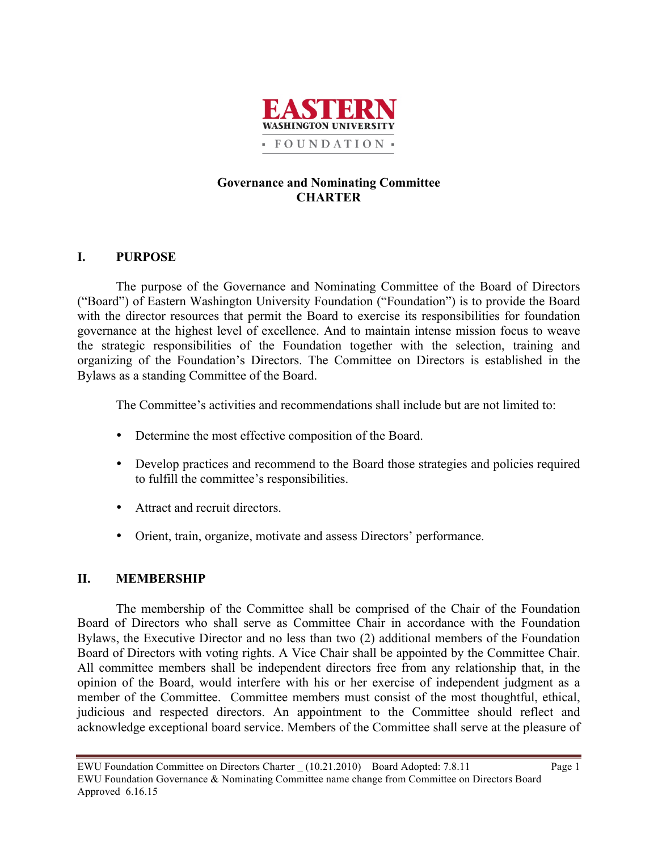

## **Governance and Nominating Committee CHARTER**

## **I. PURPOSE**

The purpose of the Governance and Nominating Committee of the Board of Directors ("Board") of Eastern Washington University Foundation ("Foundation") is to provide the Board with the director resources that permit the Board to exercise its responsibilities for foundation governance at the highest level of excellence. And to maintain intense mission focus to weave the strategic responsibilities of the Foundation together with the selection, training and organizing of the Foundation's Directors. The Committee on Directors is established in the Bylaws as a standing Committee of the Board.

The Committee's activities and recommendations shall include but are not limited to:

- Determine the most effective composition of the Board.
- Develop practices and recommend to the Board those strategies and policies required to fulfill the committee's responsibilities.
- Attract and recruit directors.
- Orient, train, organize, motivate and assess Directors' performance.

## **II. MEMBERSHIP**

The membership of the Committee shall be comprised of the Chair of the Foundation Board of Directors who shall serve as Committee Chair in accordance with the Foundation Bylaws, the Executive Director and no less than two (2) additional members of the Foundation Board of Directors with voting rights. A Vice Chair shall be appointed by the Committee Chair. All committee members shall be independent directors free from any relationship that, in the opinion of the Board, would interfere with his or her exercise of independent judgment as a member of the Committee. Committee members must consist of the most thoughtful, ethical, judicious and respected directors. An appointment to the Committee should reflect and acknowledge exceptional board service. Members of the Committee shall serve at the pleasure of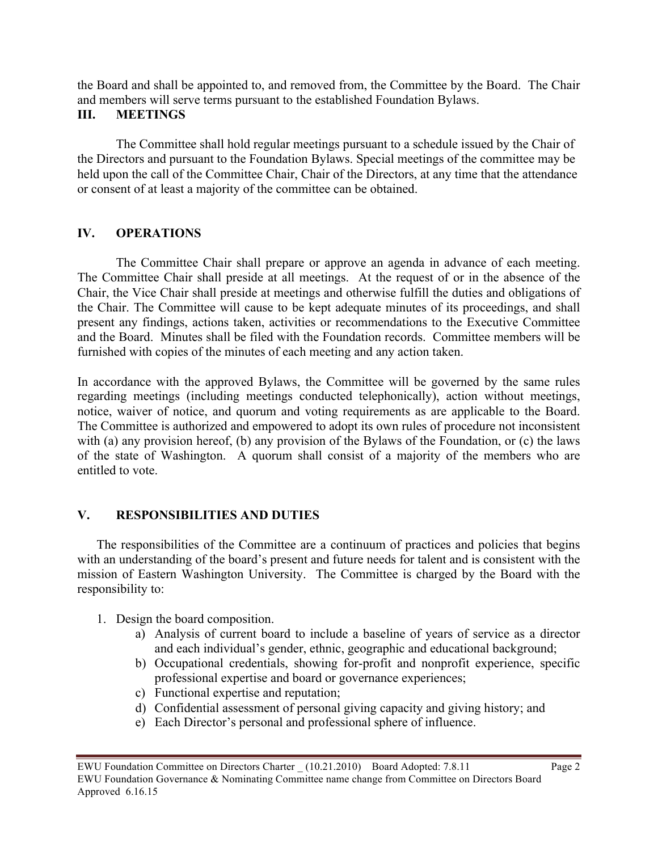the Board and shall be appointed to, and removed from, the Committee by the Board. The Chair and members will serve terms pursuant to the established Foundation Bylaws.

## **III. MEETINGS**

The Committee shall hold regular meetings pursuant to a schedule issued by the Chair of the Directors and pursuant to the Foundation Bylaws. Special meetings of the committee may be held upon the call of the Committee Chair, Chair of the Directors, at any time that the attendance or consent of at least a majority of the committee can be obtained.

## **IV. OPERATIONS**

The Committee Chair shall prepare or approve an agenda in advance of each meeting. The Committee Chair shall preside at all meetings. At the request of or in the absence of the Chair, the Vice Chair shall preside at meetings and otherwise fulfill the duties and obligations of the Chair. The Committee will cause to be kept adequate minutes of its proceedings, and shall present any findings, actions taken, activities or recommendations to the Executive Committee and the Board. Minutes shall be filed with the Foundation records. Committee members will be furnished with copies of the minutes of each meeting and any action taken.

In accordance with the approved Bylaws, the Committee will be governed by the same rules regarding meetings (including meetings conducted telephonically), action without meetings, notice, waiver of notice, and quorum and voting requirements as are applicable to the Board. The Committee is authorized and empowered to adopt its own rules of procedure not inconsistent with (a) any provision hereof, (b) any provision of the Bylaws of the Foundation, or (c) the laws of the state of Washington. A quorum shall consist of a majority of the members who are entitled to vote.

# **V. RESPONSIBILITIES AND DUTIES**

The responsibilities of the Committee are a continuum of practices and policies that begins with an understanding of the board's present and future needs for talent and is consistent with the mission of Eastern Washington University. The Committee is charged by the Board with the responsibility to:

- 1. Design the board composition.
	- a) Analysis of current board to include a baseline of years of service as a director and each individual's gender, ethnic, geographic and educational background;
	- b) Occupational credentials, showing for-profit and nonprofit experience, specific professional expertise and board or governance experiences;
	- c) Functional expertise and reputation;
	- d) Confidential assessment of personal giving capacity and giving history; and
	- e) Each Director's personal and professional sphere of influence.